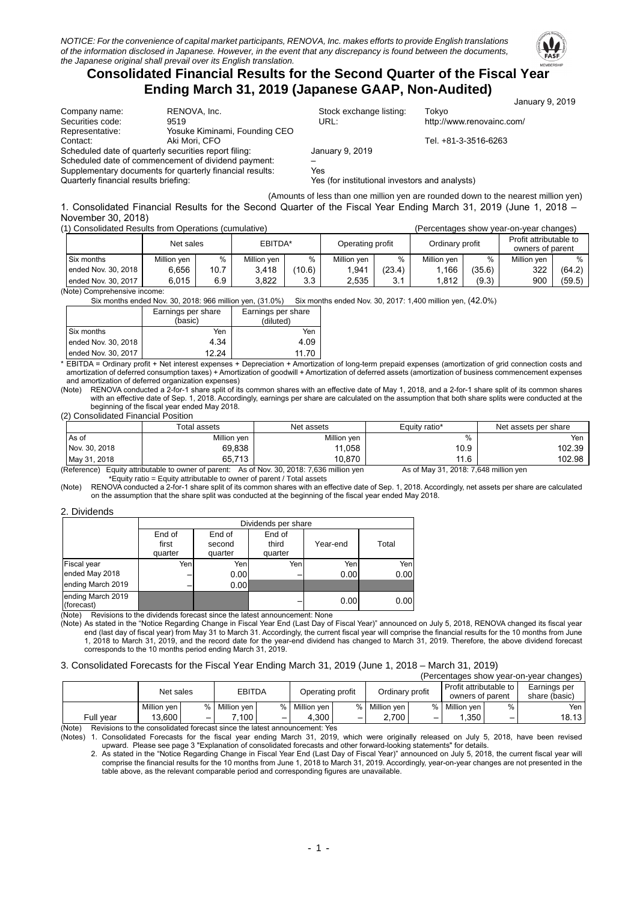

## **Consolidated Financial Results for the Second Quarter of the Fiscal Year Ending March 31, 2019 (Japanese GAAP, Non-Audited)**

|                                       |                                                          |                                                | January 9, 2019                                                                                                                                                                                                                    |
|---------------------------------------|----------------------------------------------------------|------------------------------------------------|------------------------------------------------------------------------------------------------------------------------------------------------------------------------------------------------------------------------------------|
| Company name:                         | RENOVA, Inc.                                             | Stock exchange listing:                        | Tokvo                                                                                                                                                                                                                              |
| Securities code:                      | 9519                                                     | URL:                                           | http://www.renovainc.com/                                                                                                                                                                                                          |
| Representative:                       | Yosuke Kiminami, Founding CEO                            |                                                |                                                                                                                                                                                                                                    |
| Contact:                              | Aki Mori, CFO                                            |                                                | Tel. +81-3-3516-6263                                                                                                                                                                                                               |
|                                       | Scheduled date of quarterly securities report filing:    | January 9, 2019                                |                                                                                                                                                                                                                                    |
|                                       | Scheduled date of commencement of dividend payment:      |                                                |                                                                                                                                                                                                                                    |
|                                       | Supplementary documents for quarterly financial results: | Yes                                            |                                                                                                                                                                                                                                    |
| Quarterly financial results briefing: |                                                          | Yes (for institutional investors and analysts) |                                                                                                                                                                                                                                    |
|                                       |                                                          |                                                | $\mathcal{L}$ , and the contract of the contract of the contract of the contract of the contract of the contract of the contract of the contract of the contract of the contract of the contract of the contract of the contract o |

(Amounts of less than one million yen are rounded down to the nearest million yen) 1. Consolidated Financial Results for the Second Quarter of the Fiscal Year Ending March 31, 2019 (June 1, 2018 -November 30, 2018)<br>(1) Consolidated Bosults

(1) Consolidated Results from Operations (cumulative) (Percentages show year-on-year changes)

| <u>Consolidated Incsults from Oberations (Curriculative)</u> |             |      |             |        |                  |              |                 |        | GIUCI IIQUES SITUW VEQI-UITVEQI UTQITUEST  |        |
|--------------------------------------------------------------|-------------|------|-------------|--------|------------------|--------------|-----------------|--------|--------------------------------------------|--------|
|                                                              | Net sales   |      | EBITDA*     |        | Operating profit |              | Ordinary profit |        | Profit attributable to<br>owners of parent |        |
| Six months                                                   | Million ven | %    | Million ven | %      | Million ven      | %            | Million ven     |        | Million ven                                | $\%$   |
| ended Nov. 30, 2018                                          | 6.656       | 10.7 | 3.418       | (10.6) | 1.941            | (23.4)       | .166.،          | (35.6) | 322                                        | (64.2) |
| ended Nov. 30, 2017                                          | 6.015       | 6.9  | 3.822       | 3.3    | 2,535            | 3.1<br>ا . ن | 1.812           | (9.3)  | 900                                        | (59.5) |

(Note) Comprehensive income:

Six months ended Nov. 30, 2018: 966 million yen, (31.0%) Six months ended Nov. 30, 2017: 1,400 million yen, (42.0%)

|                     | Earnings per share<br>(basic) | Earnings per share<br>(diluted) |
|---------------------|-------------------------------|---------------------------------|
| Six months          | Yen                           | Yen                             |
| ended Nov. 30, 2018 | 4.34                          | 4.09                            |
| ended Nov. 30, 2017 | 12 24                         | 11 70                           |

\* EBITDA = Ordinary profit + Net interest expenses + Depreciation + Amortization of long-term prepaid expenses (amortization of grid connection costs and an ortization of deferred consumption taxes) + Amortization of goodwill + Amortization of deferred assets (amortization of pusiness commencement expenses and amortization of deferred organization expenses)<br>(Note) RENOVA conducted a 2-for-1 share split of its

RENOVA conducted a 2-for-1 share split of its common shares with an effective date of May 1, 2018, and a 2-for-1 share split of its common shares with an effective date of Sep. 1, 2018. Accordingly, earnings per share are calculated on the assumption that both share splits were conducted at the beginning of the fiscal year ended May 2018

(2) Consolidated Financial Position

|                                                                                                                                                                                                                                | Total assets | Net assets  | Equity ratio* | Net assets per share |  |  |
|--------------------------------------------------------------------------------------------------------------------------------------------------------------------------------------------------------------------------------|--------------|-------------|---------------|----------------------|--|--|
| As of                                                                                                                                                                                                                          | Million yen  | Million yen | %             | Yen                  |  |  |
| Nov. 30, 2018                                                                                                                                                                                                                  | 69.838       | 11.058      | 10.9          | 102.39               |  |  |
| May 31, 2018                                                                                                                                                                                                                   | 65,713       | 10.870      | 11.6          | 102.98               |  |  |
| $(5.6)$ $(1.1)$ $(1.1)$ $(1.1)$ $(1.1)$ $(1.1)$ $(1.1)$ $(1.1)$ $(1.1)$ $(1.1)$ $(1.1)$ $(1.1)$ $(1.1)$ $(1.1)$ $(1.1)$ $(1.1)$ $(1.1)$ $(1.1)$ $(1.1)$ $(1.1)$ $(1.1)$ $(1.1)$ $(1.1)$ $(1.1)$ $(1.1)$ $(1.1)$ $(1.1)$ $(1.1$ |              |             |               |                      |  |  |

(Reference) Equity attributable to owner of parent: As of Nov. 30, 2018: 7,636 million yen As of May 31, 2018: 7,648 million yen<br>\*Equity ratio = Equity attributable to owner of parent / Total assets

(Note) RENOVA conducted a 2-for-1 share split of its common shares with an effective date of Sep. 1, 2018. Accordingly, net assets per share are calculated on the assumption that the share split was conducted at the beginning of the fiscal year ended May 2018.

#### 2. Dividends

|                                 |                 | Dividends per share |                 |          |       |  |  |  |  |
|---------------------------------|-----------------|---------------------|-----------------|----------|-------|--|--|--|--|
|                                 | End of<br>first | End of<br>second    | End of<br>third | Year-end | Total |  |  |  |  |
|                                 | quarter         | quarter             | quarter         |          |       |  |  |  |  |
| Fiscal year                     | Yen             | Yenl                | Yen             | Yen      | Yen   |  |  |  |  |
| ended May 2018                  |                 | 0.00                |                 | 0.00     | 0.00  |  |  |  |  |
| ending March 2019               |                 | 0.00                |                 |          |       |  |  |  |  |
| ending March 2019<br>(forecast) |                 |                     |                 | 0.00     | 0.00  |  |  |  |  |

(Note) Revisions to the dividends forecast since the latest announcement: None

(Note) As stated in the "Notice Regarding Change in Fiscal Year End (Last Day of Fiscal Year)" announced on July 5, 2018, RENOVA changed its fiscal year end (last day of fiscal year) from May 31 to March 31. Accordingly, the current fiscal year will comprise the financial results for the 10 months from June 1, 2018 to March 31, 2019, and the record date for the year-end dividend has changed to March 31, 2019. Therefore, the above dividend forecast corresponds to the 10 months period ending March 31, 2019.

#### 3. Consolidated Forecasts for the Fiscal Year Ending March 31, 2019 (June 1, 2018 – March 31, 2019)

| (Percentages show year-on-year changes)                                            |             |      |                                                      |  |               |                                            |             |   |             |                               |       |
|------------------------------------------------------------------------------------|-------------|------|------------------------------------------------------|--|---------------|--------------------------------------------|-------------|---|-------------|-------------------------------|-------|
|                                                                                    | Net sales   |      | <b>EBITDA</b><br>Ordinary profit<br>Operating profit |  |               | Profit attributable to<br>owners of parent |             |   |             | Earnings per<br>share (basic) |       |
|                                                                                    | Million ven | $\%$ | Million ven                                          |  | % Million ven | $\frac{9}{6}$ 1                            | Million ven | % | Million ven | %                             | Yen   |
| Full vear                                                                          | 13.600      | -    | 100                                                  |  | 4.300         |                                            | 2.700       | — | 1.350       | $\overline{\phantom{m}}$      | 18.13 |
| (A A)<br>Devisions to the consolidated forecast cines the latest consumerment: Vec |             |      |                                                      |  |               |                                            |             |   |             |                               |       |

consolidated forecast since the latest announcement: Yes

(Notes) 1. Consolidated Forecasts for the fiscal year ending March 31, 2019, which were originally released on July 5, 2018, have been revised Dividend Dease see page 3 "Explanation of consolidated forecasts and other forward-looking statements" for details.<br>Library of the formal proportional consolidated forecasts and other forward-looking statements" for detail

2. As stated in the "Notice Regarding Change in Fiscal Year End (Last Day of Fiscal Year)" announced on July 5, 2018, the current fiscal year will comprise the financial results for the 10 months from June 1, 2018 to March 31, 2019. Accordingly, year-on-year changes are not presented in the table above, as the relevant comparable period and corresponding figures are unavailable.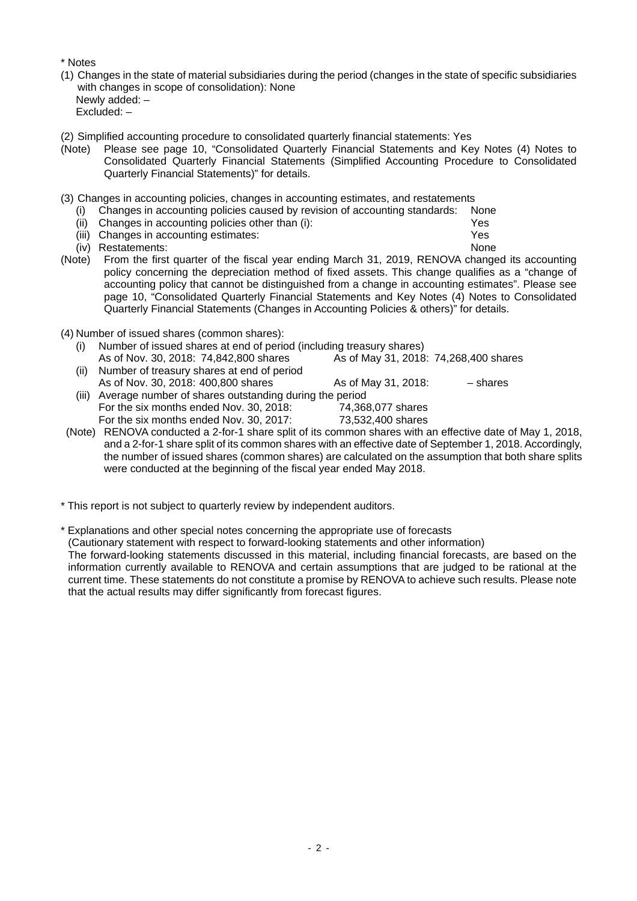\* Notes

- (1) Changes in the state of material subsidiaries during the period (changes in the state of specific subsidiaries with changes in scope of consolidation): None Newly added: – Excluded: –
- (2) Simplified accounting procedure to consolidated quarterly financial statements: Yes
- (Note) Please see page 10, "Consolidated Quarterly Financial Statements and Key Notes (4) Notes to Consolidated Quarterly Financial Statements (Simplified Accounting Procedure to Consolidated Quarterly Financial Statements)" for details.
- (3) Changes in accounting policies, changes in accounting estimates, and restatements
	- (i) Changes in accounting policies caused by revision of accounting standards: None
	- (ii) Changes in accounting policies other than (i): Yes
	- (iii) Changes in accounting estimates: Yes
	- (iv) Restatements: None
- (Note) From the first quarter of the fiscal year ending March 31, 2019, RENOVA changed its accounting policy concerning the depreciation method of fixed assets. This change qualifies as a "change of accounting policy that cannot be distinguished from a change in accounting estimates". Please see page 10, "Consolidated Quarterly Financial Statements and Key Notes (4) Notes to Consolidated Quarterly Financial Statements (Changes in Accounting Policies & others)" for details.
- (4) Number of issued shares (common shares):
	- (i) Number of issued shares at end of period (including treasury shares)<br>As of Nov. 30, 2018: 74,842,800 shares As of Mav 31, 2018: 74,268,400 shares As of Nov. 30, 2018: 74,842,800 shares (ii) Number of treasury shares at end of period As of Nov. 30, 2018: 400,800 shares As of May 31, 2018: – shares (iii) Average number of shares outstanding during the period For the six months ended Nov. 30, 2018: 74,368,077 shares
- For the six months ended Nov. 30, 2017: 73,532,400 shares (Note) RENOVA conducted a 2-for-1 share split of its common shares with an effective date of May 1, 2018,
- and a 2-for-1 share split of its common shares with an effective date of September 1, 2018. Accordingly, the number of issued shares (common shares) are calculated on the assumption that both share splits were conducted at the beginning of the fiscal year ended May 2018.
- \* This report is not subject to quarterly review by independent auditors.
- \* Explanations and other special notes concerning the appropriate use of forecasts

(Cautionary statement with respect to forward-looking statements and other information) The forward-looking statements discussed in this material, including financial forecasts, are based on the information currently available to RENOVA and certain assumptions that are judged to be rational at the current time. These statements do not constitute a promise by RENOVA to achieve such results. Please note that the actual results may differ significantly from forecast figures.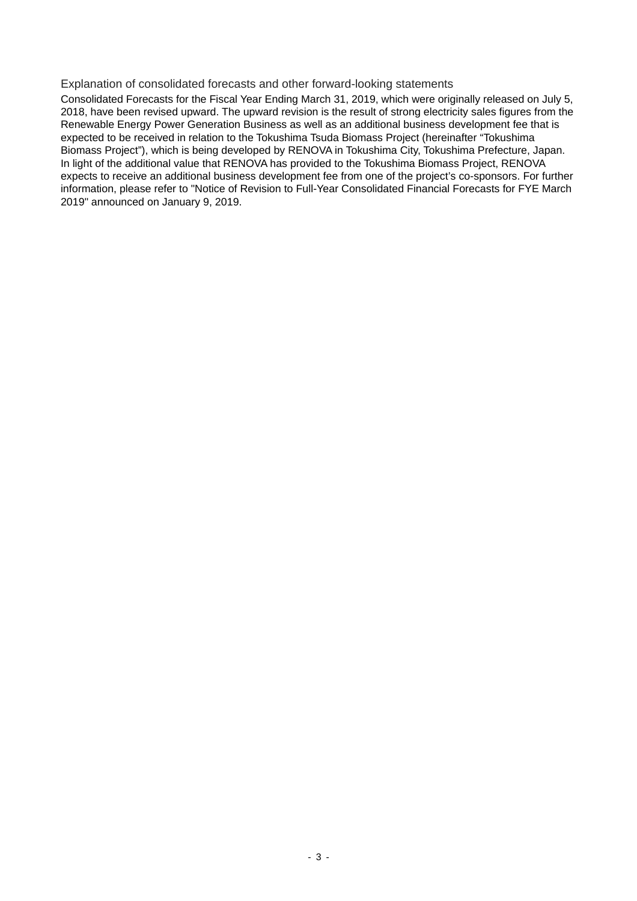#### Explanation of consolidated forecasts and other forward-looking statements

Consolidated Forecasts for the Fiscal Year Ending March 31, 2019, which were originally released on July 5, 2018, have been revised upward. The upward revision is the result of strong electricity sales figures from the Renewable Energy Power Generation Business as well as an additional business development fee that is expected to be received in relation to the Tokushima Tsuda Biomass Project (hereinafter "Tokushima Biomass Project"), which is being developed by RENOVA in Tokushima City, Tokushima Prefecture, Japan. In light of the additional value that RENOVA has provided to the Tokushima Biomass Project, RENOVA expects to receive an additional business development fee from one of the project's co-sponsors. For further information, please refer to "Notice of Revision to Full-Year Consolidated Financial Forecasts for FYE March 2019" announced on January 9, 2019.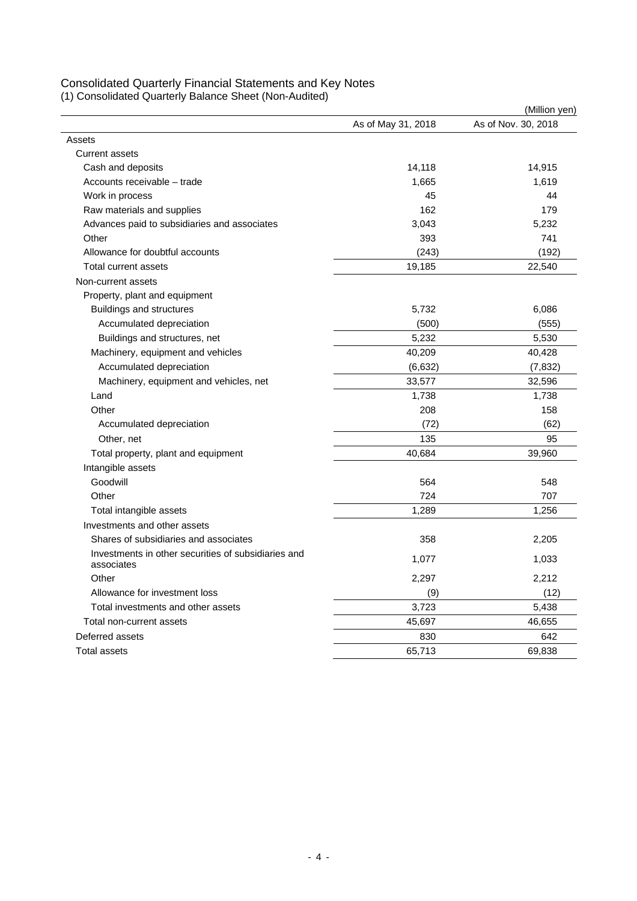## Consolidated Quarterly Financial Statements and Key Notes

(1) Consolidated Quarterly Balance Sheet (Non-Audited)

|                                                                   |                    | (Million yen)       |
|-------------------------------------------------------------------|--------------------|---------------------|
|                                                                   | As of May 31, 2018 | As of Nov. 30, 2018 |
| Assets                                                            |                    |                     |
| <b>Current assets</b>                                             |                    |                     |
| Cash and deposits                                                 | 14,118             | 14,915              |
| Accounts receivable - trade                                       | 1,665              | 1,619               |
| Work in process                                                   | 45                 | 44                  |
| Raw materials and supplies                                        | 162                | 179                 |
| Advances paid to subsidiaries and associates                      | 3,043              | 5,232               |
| Other                                                             | 393                | 741                 |
| Allowance for doubtful accounts                                   | (243)              | (192)               |
| Total current assets                                              | 19,185             | 22,540              |
| Non-current assets                                                |                    |                     |
| Property, plant and equipment                                     |                    |                     |
| <b>Buildings and structures</b>                                   | 5,732              | 6,086               |
| Accumulated depreciation                                          | (500)              | (555)               |
| Buildings and structures, net                                     | 5,232              | 5,530               |
| Machinery, equipment and vehicles                                 | 40,209             | 40,428              |
| Accumulated depreciation                                          | (6,632)            | (7, 832)            |
| Machinery, equipment and vehicles, net                            | 33,577             | 32,596              |
| Land                                                              | 1,738              | 1,738               |
| Other                                                             | 208                | 158                 |
| Accumulated depreciation                                          | (72)               | (62)                |
| Other, net                                                        | 135                | 95                  |
| Total property, plant and equipment                               | 40,684             | 39,960              |
| Intangible assets                                                 |                    |                     |
| Goodwill                                                          | 564                | 548                 |
| Other                                                             | 724                | 707                 |
| Total intangible assets                                           | 1,289              | 1,256               |
| Investments and other assets                                      |                    |                     |
| Shares of subsidiaries and associates                             | 358                | 2,205               |
| Investments in other securities of subsidiaries and<br>associates | 1,077              | 1,033               |
| Other                                                             | 2,297              | 2,212               |
| Allowance for investment loss                                     | (9)                | (12)                |
| Total investments and other assets                                | 3,723              | 5,438               |
| Total non-current assets                                          | 45,697             | 46,655              |
| Deferred assets                                                   | 830                | 642                 |
| <b>Total assets</b>                                               | 65.713             | 69.838              |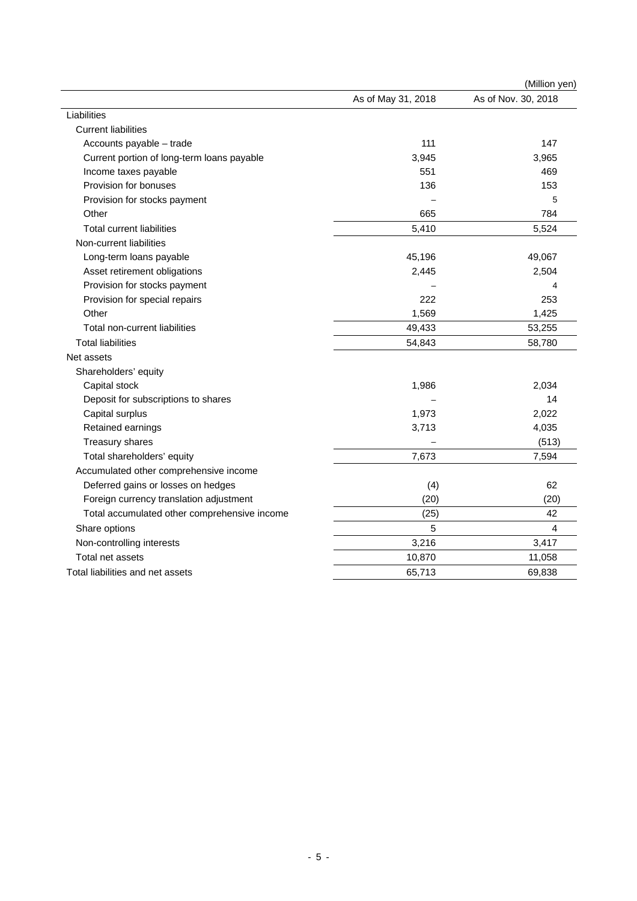|                                              |                    | (Million yen)       |
|----------------------------------------------|--------------------|---------------------|
|                                              | As of May 31, 2018 | As of Nov. 30, 2018 |
| Liabilities                                  |                    |                     |
| <b>Current liabilities</b>                   |                    |                     |
| Accounts payable - trade                     | 111                | 147                 |
| Current portion of long-term loans payable   | 3,945              | 3,965               |
| Income taxes payable                         | 551                | 469                 |
| Provision for bonuses                        | 136                | 153                 |
| Provision for stocks payment                 |                    | 5                   |
| Other                                        | 665                | 784                 |
| <b>Total current liabilities</b>             | 5,410              | 5,524               |
| Non-current liabilities                      |                    |                     |
| Long-term loans payable                      | 45,196             | 49,067              |
| Asset retirement obligations                 | 2,445              | 2,504               |
| Provision for stocks payment                 |                    | 4                   |
| Provision for special repairs                | 222                | 253                 |
| Other                                        | 1,569              | 1,425               |
| Total non-current liabilities                | 49,433             | 53,255              |
| <b>Total liabilities</b>                     | 54,843             | 58,780              |
| Net assets                                   |                    |                     |
| Shareholders' equity                         |                    |                     |
| Capital stock                                | 1,986              | 2,034               |
| Deposit for subscriptions to shares          |                    | 14                  |
| Capital surplus                              | 1,973              | 2,022               |
| Retained earnings                            | 3,713              | 4,035               |
| Treasury shares                              |                    | (513)               |
| Total shareholders' equity                   | 7,673              | 7,594               |
| Accumulated other comprehensive income       |                    |                     |
| Deferred gains or losses on hedges           | (4)                | 62                  |
| Foreign currency translation adjustment      | (20)               | (20)                |
| Total accumulated other comprehensive income | (25)               | 42                  |
| Share options                                | 5                  | $\overline{4}$      |
| Non-controlling interests                    | 3,216              | 3,417               |
| Total net assets                             | 10,870             | 11,058              |
| Total liabilities and net assets             | 65,713             | 69,838              |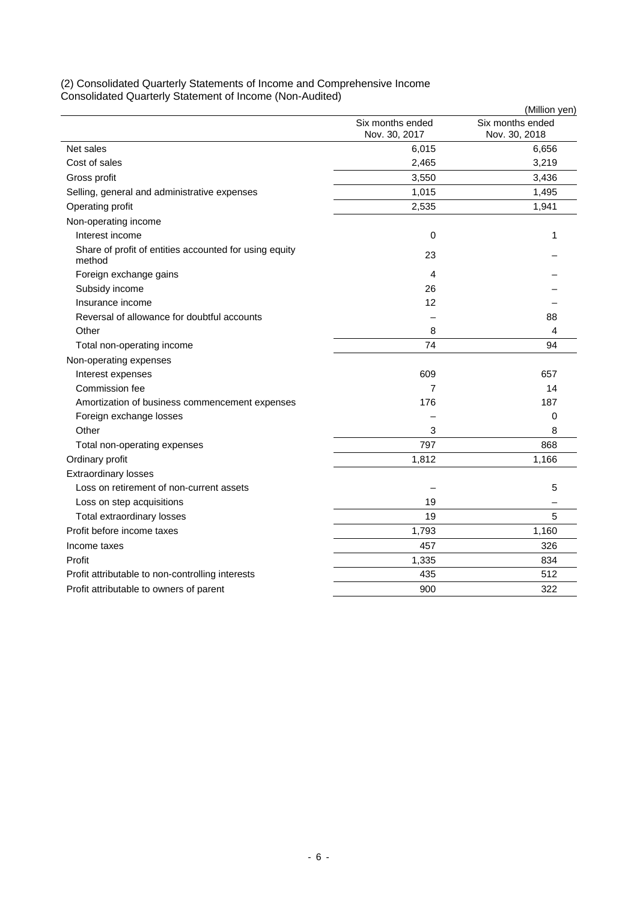|                                                                  |                                   | (Million yen)                     |
|------------------------------------------------------------------|-----------------------------------|-----------------------------------|
|                                                                  | Six months ended<br>Nov. 30, 2017 | Six months ended<br>Nov. 30, 2018 |
| Net sales                                                        | 6,015                             | 6,656                             |
| Cost of sales                                                    | 2,465                             | 3,219                             |
| Gross profit                                                     | 3,550                             | 3,436                             |
| Selling, general and administrative expenses                     | 1,015                             | 1,495                             |
| Operating profit                                                 | 2,535                             | 1,941                             |
| Non-operating income                                             |                                   |                                   |
| Interest income                                                  | 0                                 | 1                                 |
| Share of profit of entities accounted for using equity<br>method | 23                                |                                   |
| Foreign exchange gains                                           | 4                                 |                                   |
| Subsidy income                                                   | 26                                |                                   |
| Insurance income                                                 | 12                                |                                   |
| Reversal of allowance for doubtful accounts                      |                                   | 88                                |
| Other                                                            | 8                                 | 4                                 |
| Total non-operating income                                       | 74                                | 94                                |
| Non-operating expenses                                           |                                   |                                   |
| Interest expenses                                                | 609                               | 657                               |
| Commission fee                                                   | 7                                 | 14                                |
| Amortization of business commencement expenses                   | 176                               | 187                               |
| Foreign exchange losses                                          |                                   | 0                                 |
| Other                                                            | 3                                 | 8                                 |
| Total non-operating expenses                                     | 797                               | 868                               |
| Ordinary profit                                                  | 1,812                             | 1,166                             |
| <b>Extraordinary losses</b>                                      |                                   |                                   |
| Loss on retirement of non-current assets                         |                                   | 5                                 |
| Loss on step acquisitions                                        | 19                                |                                   |
| Total extraordinary losses                                       | 19                                | 5                                 |
| Profit before income taxes                                       | 1,793                             | 1,160                             |
| Income taxes                                                     | 457                               | 326                               |
| Profit                                                           | 1,335                             | 834                               |
| Profit attributable to non-controlling interests                 | 435                               | 512                               |
| Profit attributable to owners of parent                          | 900                               | 322                               |

### (2) Consolidated Quarterly Statements of Income and Comprehensive Income Consolidated Quarterly Statement of Income (Non-Audited)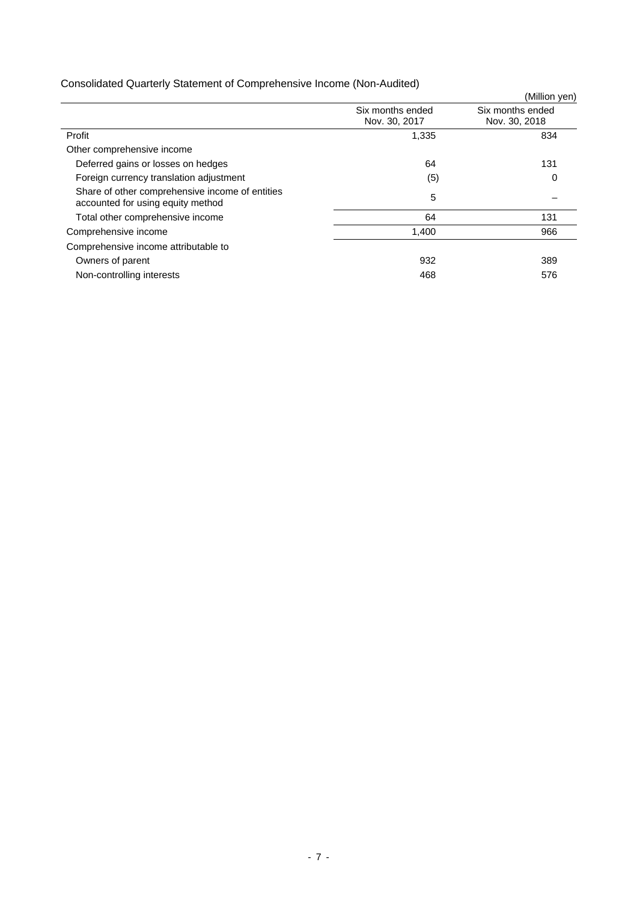# Consolidated Quarterly Statement of Comprehensive Income (Non-Audited)

|                                                                                      |                                   | (Million yen)                     |
|--------------------------------------------------------------------------------------|-----------------------------------|-----------------------------------|
|                                                                                      | Six months ended<br>Nov. 30, 2017 | Six months ended<br>Nov. 30, 2018 |
| Profit                                                                               | 1,335                             | 834                               |
| Other comprehensive income                                                           |                                   |                                   |
| Deferred gains or losses on hedges                                                   | 64                                | 131                               |
| Foreign currency translation adjustment                                              | (5)                               | 0                                 |
| Share of other comprehensive income of entities<br>accounted for using equity method | 5                                 |                                   |
| Total other comprehensive income                                                     | 64                                | 131                               |
| Comprehensive income                                                                 | 1,400                             | 966                               |
| Comprehensive income attributable to                                                 |                                   |                                   |
| Owners of parent                                                                     | 932                               | 389                               |
| Non-controlling interests                                                            | 468                               | 576                               |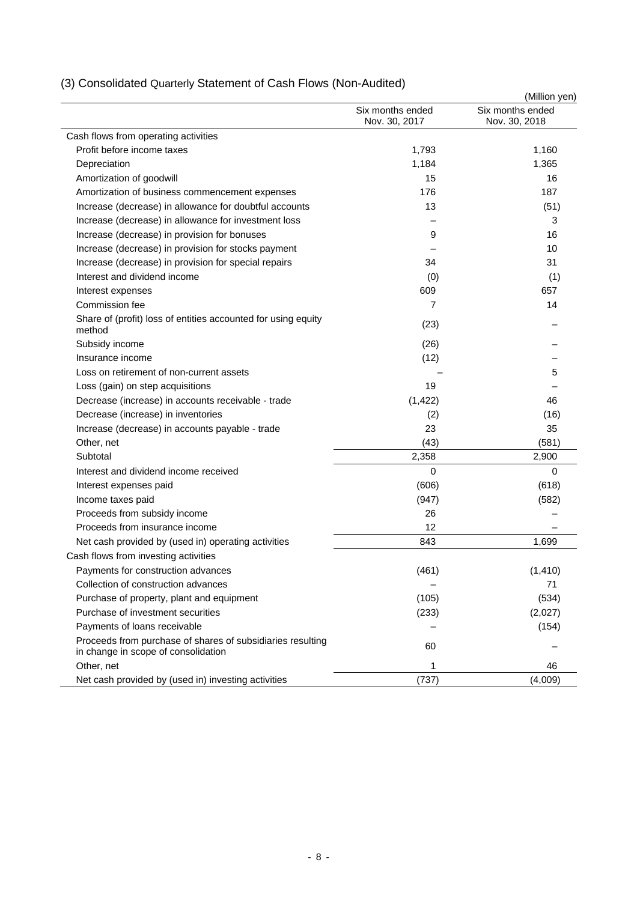|                                                                                                   |                                   | (Million yen)                     |
|---------------------------------------------------------------------------------------------------|-----------------------------------|-----------------------------------|
|                                                                                                   | Six months ended<br>Nov. 30, 2017 | Six months ended<br>Nov. 30, 2018 |
| Cash flows from operating activities                                                              |                                   |                                   |
| Profit before income taxes                                                                        | 1,793                             | 1,160                             |
| Depreciation                                                                                      | 1,184                             | 1,365                             |
| Amortization of goodwill                                                                          | 15                                | 16                                |
| Amortization of business commencement expenses                                                    | 176                               | 187                               |
| Increase (decrease) in allowance for doubtful accounts                                            | 13                                | (51)                              |
| Increase (decrease) in allowance for investment loss                                              |                                   | 3                                 |
| Increase (decrease) in provision for bonuses                                                      | 9                                 | 16                                |
| Increase (decrease) in provision for stocks payment                                               |                                   | 10                                |
| Increase (decrease) in provision for special repairs                                              | 34                                | 31                                |
| Interest and dividend income                                                                      | (0)                               | (1)                               |
| Interest expenses                                                                                 | 609                               | 657                               |
| Commission fee                                                                                    | 7                                 | 14                                |
| Share of (profit) loss of entities accounted for using equity<br>method                           | (23)                              |                                   |
| Subsidy income                                                                                    | (26)                              |                                   |
| Insurance income                                                                                  | (12)                              |                                   |
| Loss on retirement of non-current assets                                                          |                                   | 5                                 |
| Loss (gain) on step acquisitions                                                                  | 19                                |                                   |
| Decrease (increase) in accounts receivable - trade                                                | (1, 422)                          | 46                                |
| Decrease (increase) in inventories                                                                | (2)                               | (16)                              |
| Increase (decrease) in accounts payable - trade                                                   | 23                                | 35                                |
| Other, net                                                                                        | (43)                              | (581)                             |
| Subtotal                                                                                          | 2,358                             | 2,900                             |
| Interest and dividend income received                                                             | 0                                 | 0                                 |
| Interest expenses paid                                                                            | (606)                             | (618)                             |
| Income taxes paid                                                                                 | (947)                             | (582)                             |
| Proceeds from subsidy income                                                                      | 26                                |                                   |
| Proceeds from insurance income                                                                    | 12                                |                                   |
| Net cash provided by (used in) operating activities                                               | 843                               | 1,699                             |
| Cash flows from investing activities                                                              |                                   |                                   |
| Payments for construction advances                                                                | (461)                             | (1, 410)                          |
| Collection of construction advances                                                               |                                   | 71                                |
| Purchase of property, plant and equipment                                                         | (105)                             | (534)                             |
| Purchase of investment securities                                                                 | (233)                             | (2,027)                           |
| Payments of loans receivable                                                                      |                                   | (154)                             |
| Proceeds from purchase of shares of subsidiaries resulting<br>in change in scope of consolidation | 60                                |                                   |
| Other, net                                                                                        | 1                                 | 46                                |
| Net cash provided by (used in) investing activities                                               | (737)                             | (4,009)                           |

# (3) Consolidated Quarterly Statement of Cash Flows (Non-Audited)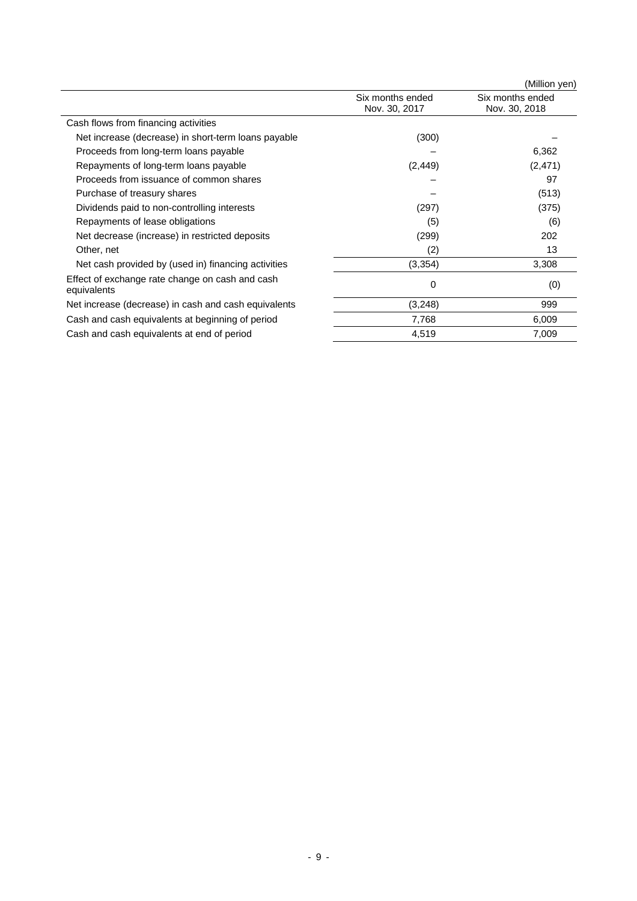|                                                                |                                   | (Million yen)                     |
|----------------------------------------------------------------|-----------------------------------|-----------------------------------|
|                                                                | Six months ended<br>Nov. 30, 2017 | Six months ended<br>Nov. 30, 2018 |
| Cash flows from financing activities                           |                                   |                                   |
| Net increase (decrease) in short-term loans payable            | (300)                             |                                   |
| Proceeds from long-term loans payable                          |                                   | 6,362                             |
| Repayments of long-term loans payable                          | (2, 449)                          | (2,471)                           |
| Proceeds from issuance of common shares                        |                                   | 97                                |
| Purchase of treasury shares                                    |                                   | (513)                             |
| Dividends paid to non-controlling interests                    | (297)                             | (375)                             |
| Repayments of lease obligations                                | (5)                               | (6)                               |
| Net decrease (increase) in restricted deposits                 | (299)                             | 202                               |
| Other, net                                                     | (2)                               | 13                                |
| Net cash provided by (used in) financing activities            | (3,354)                           | 3,308                             |
| Effect of exchange rate change on cash and cash<br>equivalents | 0                                 | (0)                               |
| Net increase (decrease) in cash and cash equivalents           | (3, 248)                          | 999                               |
| Cash and cash equivalents at beginning of period               | 7,768                             | 6,009                             |
| Cash and cash equivalents at end of period                     | 4,519                             | 7,009                             |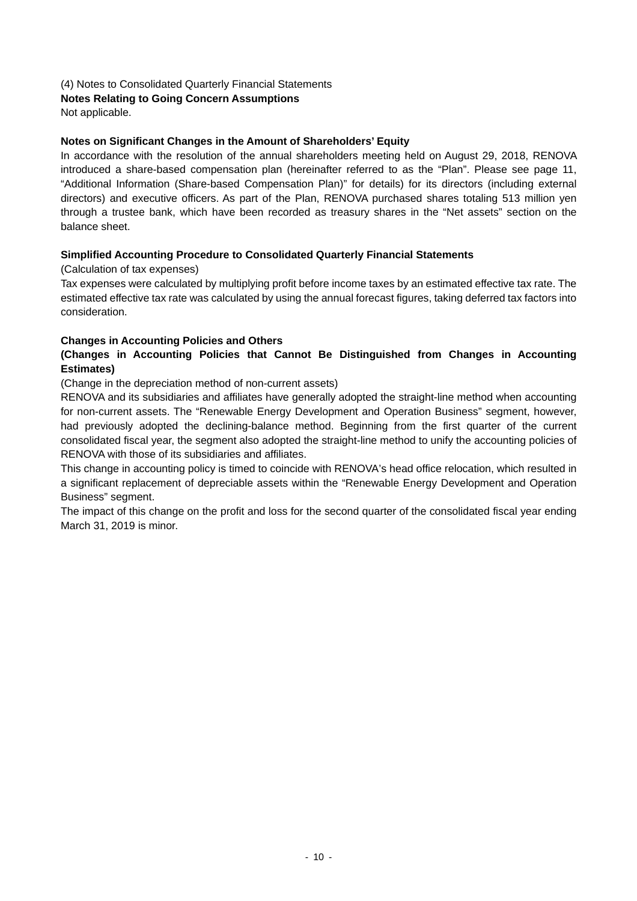(4) Notes to Consolidated Quarterly Financial Statements

## **Notes Relating to Going Concern Assumptions**

Not applicable.

### **Notes on Significant Changes in the Amount of Shareholders' Equity**

In accordance with the resolution of the annual shareholders meeting held on August 29, 2018, RENOVA introduced a share-based compensation plan (hereinafter referred to as the "Plan". Please see page 11, "Additional Information (Share-based Compensation Plan)" for details) for its directors (including external directors) and executive officers. As part of the Plan, RENOVA purchased shares totaling 513 million yen through a trustee bank, which have been recorded as treasury shares in the "Net assets" section on the balance sheet.

### **Simplified Accounting Procedure to Consolidated Quarterly Financial Statements**

(Calculation of tax expenses)

Tax expenses were calculated by multiplying profit before income taxes by an estimated effective tax rate. The estimated effective tax rate was calculated by using the annual forecast figures, taking deferred tax factors into consideration.

### **Changes in Accounting Policies and Others**

### **(Changes in Accounting Policies that Cannot Be Distinguished from Changes in Accounting Estimates)**

(Change in the depreciation method of non-current assets)

RENOVA and its subsidiaries and affiliates have generally adopted the straight-line method when accounting for non-current assets. The "Renewable Energy Development and Operation Business" segment, however, had previously adopted the declining-balance method. Beginning from the first quarter of the current consolidated fiscal year, the segment also adopted the straight-line method to unify the accounting policies of RENOVA with those of its subsidiaries and affiliates.

This change in accounting policy is timed to coincide with RENOVA's head office relocation, which resulted in a significant replacement of depreciable assets within the "Renewable Energy Development and Operation Business" segment.

The impact of this change on the profit and loss for the second quarter of the consolidated fiscal year ending March 31, 2019 is minor.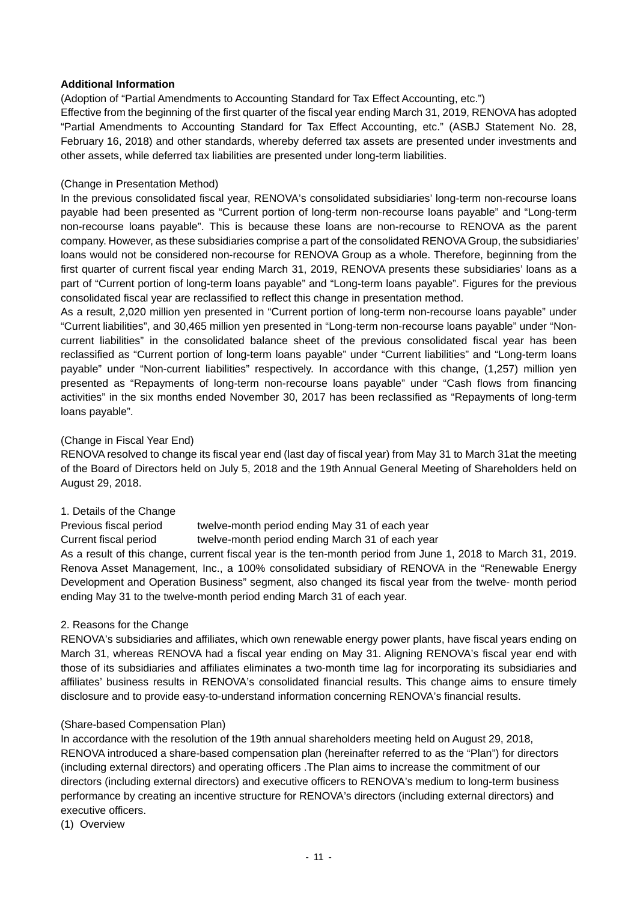### **Additional Information**

(Adoption of "Partial Amendments to Accounting Standard for Tax Effect Accounting, etc.")

Effective from the beginning of the first quarter of the fiscal year ending March 31, 2019, RENOVA has adopted "Partial Amendments to Accounting Standard for Tax Effect Accounting, etc." (ASBJ Statement No. 28, February 16, 2018) and other standards, whereby deferred tax assets are presented under investments and other assets, while deferred tax liabilities are presented under long-term liabilities.

### (Change in Presentation Method)

In the previous consolidated fiscal year, RENOVA's consolidated subsidiaries' long-term non-recourse loans payable had been presented as "Current portion of long-term non-recourse loans payable" and "Long-term non-recourse loans payable". This is because these loans are non-recourse to RENOVA as the parent company. However, as these subsidiaries comprise a part of the consolidated RENOVA Group, the subsidiaries' loans would not be considered non-recourse for RENOVA Group as a whole. Therefore, beginning from the first quarter of current fiscal year ending March 31, 2019, RENOVA presents these subsidiaries' loans as a part of "Current portion of long-term loans payable" and "Long-term loans payable". Figures for the previous consolidated fiscal year are reclassified to reflect this change in presentation method.

As a result, 2,020 million yen presented in "Current portion of long-term non-recourse loans payable" under "Current liabilities", and 30,465 million yen presented in "Long-term non-recourse loans payable" under "Noncurrent liabilities" in the consolidated balance sheet of the previous consolidated fiscal year has been reclassified as "Current portion of long-term loans payable" under "Current liabilities" and "Long-term loans payable" under "Non-current liabilities" respectively. In accordance with this change, (1,257) million yen presented as "Repayments of long-term non-recourse loans payable" under "Cash flows from financing activities" in the six months ended November 30, 2017 has been reclassified as "Repayments of long-term loans payable".

### (Change in Fiscal Year End)

RENOVA resolved to change its fiscal year end (last day of fiscal year) from May 31 to March 31at the meeting of the Board of Directors held on July 5, 2018 and the 19th Annual General Meeting of Shareholders held on August 29, 2018.

### 1. Details of the Change

Previous fiscal period twelve-month period ending May 31 of each year

Current fiscal period twelve-month period ending March 31 of each year

As a result of this change, current fiscal year is the ten-month period from June 1, 2018 to March 31, 2019. Renova Asset Management, Inc., a 100% consolidated subsidiary of RENOVA in the "Renewable Energy Development and Operation Business" segment, also changed its fiscal year from the twelve- month period ending May 31 to the twelve-month period ending March 31 of each year.

### 2. Reasons for the Change

RENOVA's subsidiaries and affiliates, which own renewable energy power plants, have fiscal years ending on March 31, whereas RENOVA had a fiscal year ending on May 31. Aligning RENOVA's fiscal year end with those of its subsidiaries and affiliates eliminates a two-month time lag for incorporating its subsidiaries and affiliates' business results in RENOVA's consolidated financial results. This change aims to ensure timely disclosure and to provide easy-to-understand information concerning RENOVA's financial results.

### (Share-based Compensation Plan)

In accordance with the resolution of the 19th annual shareholders meeting held on August 29, 2018, RENOVA introduced a share-based compensation plan (hereinafter referred to as the "Plan") for directors (including external directors) and operating officers .The Plan aims to increase the commitment of our directors (including external directors) and executive officers to RENOVA's medium to long-term business performance by creating an incentive structure for RENOVA's directors (including external directors) and executive officers.

(1) Overview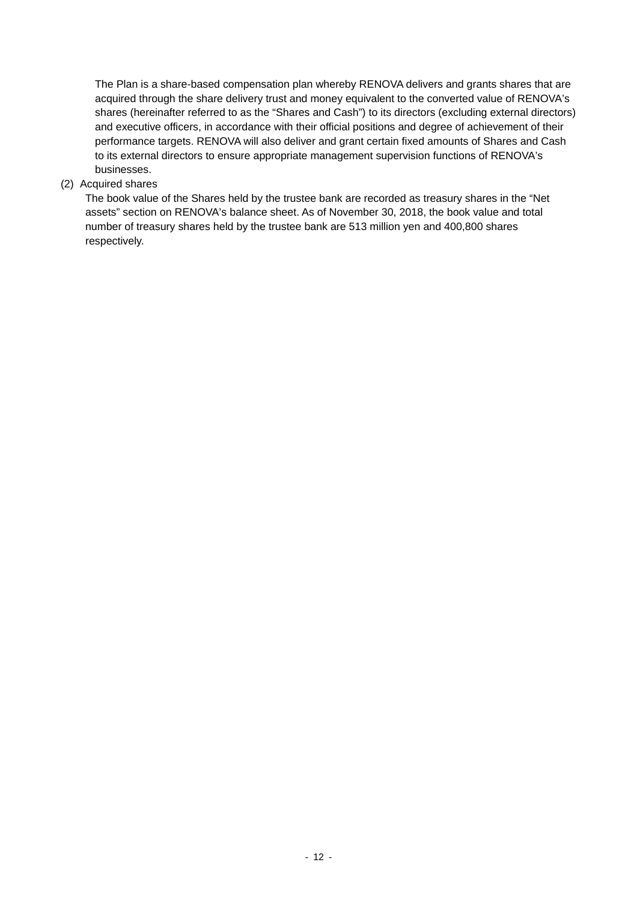The Plan is a share-based compensation plan whereby RENOVA delivers and grants shares that are acquired through the share delivery trust and money equivalent to the converted value of RENOVA's shares (hereinafter referred to as the "Shares and Cash") to its directors (excluding external directors) and executive officers, in accordance with their official positions and degree of achievement of their performance targets. RENOVA will also deliver and grant certain fixed amounts of Shares and Cash to its external directors to ensure appropriate management supervision functions of RENOVA's businesses.

### (2) Acquired shares

The book value of the Shares held by the trustee bank are recorded as treasury shares in the "Net assets" section on RENOVA's balance sheet. As of November 30, 2018, the book value and total number of treasury shares held by the trustee bank are 513 million yen and 400,800 shares respectively.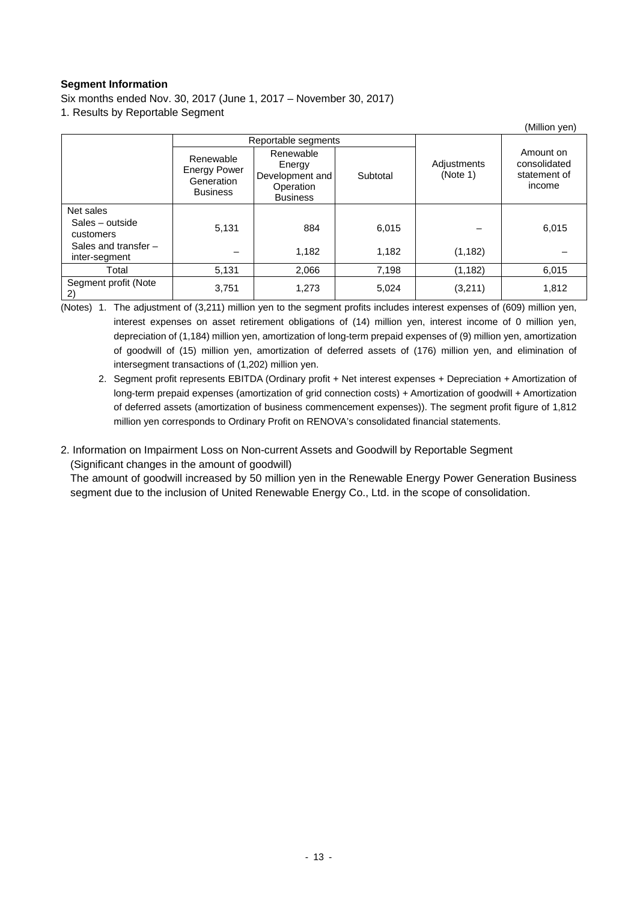### **Segment Information**

Six months ended Nov. 30, 2017 (June 1, 2017 – November 30, 2017) 1. Results by Reportable Segment

|                                         |                                                                   |                                                                        |          |                         | (Million yen)                                       |
|-----------------------------------------|-------------------------------------------------------------------|------------------------------------------------------------------------|----------|-------------------------|-----------------------------------------------------|
|                                         |                                                                   | Reportable segments                                                    |          |                         |                                                     |
|                                         | Renewable<br><b>Energy Power</b><br>Generation<br><b>Business</b> | Renewable<br>Energy<br>Development and<br>Operation<br><b>Business</b> | Subtotal | Adjustments<br>(Note 1) | Amount on<br>consolidated<br>statement of<br>income |
| Net sales                               |                                                                   |                                                                        |          |                         |                                                     |
| Sales – outside<br>customers            | 5,131                                                             | 884                                                                    | 6,015    |                         | 6,015                                               |
| Sales and transfer $-$<br>inter-segment |                                                                   | 1,182                                                                  | 1,182    | (1, 182)                |                                                     |
| Total                                   | 5,131                                                             | 2,066                                                                  | 7,198    | (1, 182)                | 6,015                                               |
| Segment profit (Note<br>2)              | 3,751                                                             | 1,273                                                                  | 5,024    | (3,211)                 | 1,812                                               |

(Notes) 1. The adjustment of (3,211) million yen to the segment profits includes interest expenses of (609) million yen, interest expenses on asset retirement obligations of (14) million yen, interest income of 0 million yen, depreciation of (1,184) million yen, amortization of long-term prepaid expenses of (9) million yen, amortization of goodwill of (15) million yen, amortization of deferred assets of (176) million yen, and elimination of intersegment transactions of (1,202) million yen.

 2. Segment profit represents EBITDA (Ordinary profit + Net interest expenses + Depreciation + Amortization of long-term prepaid expenses (amortization of grid connection costs) + Amortization of goodwill + Amortization of deferred assets (amortization of business commencement expenses)). The segment profit figure of 1,812 million yen corresponds to Ordinary Profit on RENOVA's consolidated financial statements.

### 2. Information on Impairment Loss on Non-current Assets and Goodwill by Reportable Segment (Significant changes in the amount of goodwill)

The amount of goodwill increased by 50 million yen in the Renewable Energy Power Generation Business segment due to the inclusion of United Renewable Energy Co., Ltd. in the scope of consolidation.